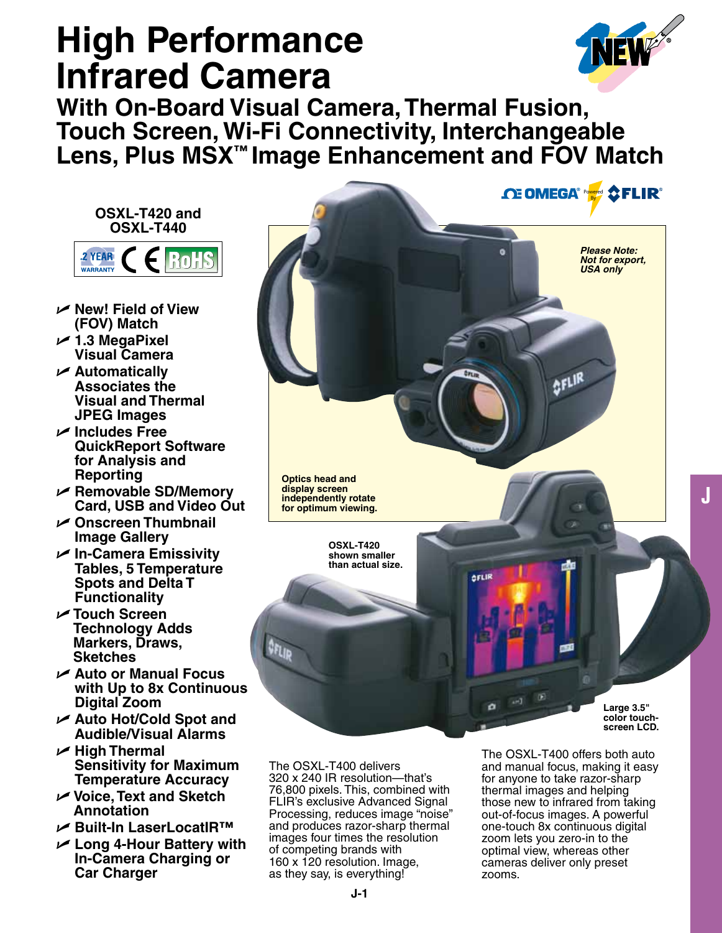# **High Performance Infrared Camera**



**J**

**With On-Board Visual Camera, Thermal Fusion, Touch Screen, Wi-Fi Connectivity, Interchangeable Lens, Plus MSX™ Image Enhancement and FOV Match**

**OSXL-T420 and OSXL-T440** 2 YEAR **RoHS WARRANTY** 

- U **New! Field of View (FOV) Match**
- U **1.3 MegaPixel Visual Camera**
- U **Automatically Associates the Visual and Thermal JPEG Images**
- U **Includes Free QuickReport Software for Analysis and Reporting**
- U **Removable SD/Memory Card, USB and Video Out**
- U **Onscreen Thumbnail Image Gallery**
- U **In-Camera Emissivity Tables, 5 Temperature Spots and Delta T Functionality**
- U **Touch Screen Technology Adds Markers, Draws, Sketches**
- U **Auto or Manual Focus with Up to 8x Continuous Digital Zoom**
- U **Auto Hot/Cold Spot and Audible/Visual Alarms**
- U **High Thermal Sensitivity for Maximum Temperature Accuracy**
- U **Voice, Text and Sketch Annotation**
- U **Built-In LaserLocatIR™**
- U **Long 4-Hour Battery with In-Camera Charging or Car Charger**



The OSXL-T400 delivers 320 x 240 IR resolution—that's 76,800 pixels. This, combined with FLIR's exclusive Advanced Signal Processing, reduces image "noise" and produces razor-sharp thermal images four times the resolution of competing brands with 160 x 120 resolution. Image, as they say, is everything!

The OSXL-T400 offers both auto and manual focus, making it easy for anyone to take razor-sharp thermal images and helping those new to infrared from taking out-of-focus images. A powerful one-touch 8x continuous digital zoom lets you zero-in to the optimal view, whereas other cameras deliver only preset zooms.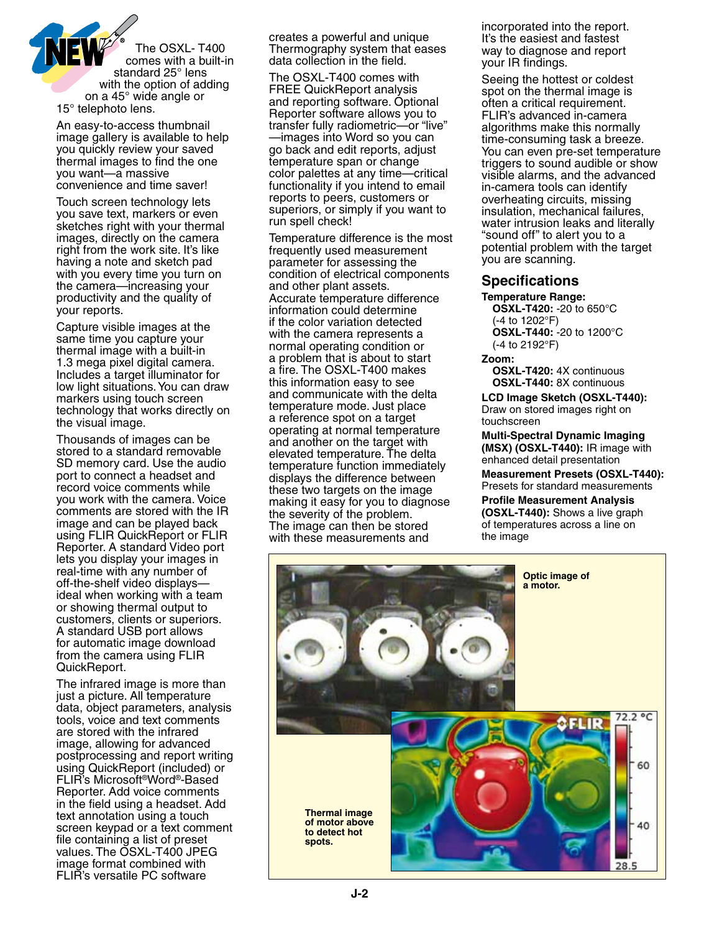

An easy-to-access thumbnail image gallery is available to help you quickly review your saved thermal images to find the one you want—a massive convenience and time saver!

Touch screen technology lets you save text, markers or even sketches right with your thermal images, directly on the camera right from the work site. It's like having a note and sketch pad with you every time you turn on the camera—increasing your productivity and the quality of your reports.

Capture visible images at the same time you capture your thermal image with a built-in 1.3 mega pixel digital camera. Includes a target illuminator for low light situations. You can draw markers using touch screen technology that works directly on the visual image.

Thousands of images can be stored to a standard removable SD memory card. Use the audio port to connect a headset and record voice comments while you work with the camera. Voice comments are stored with the IR image and can be played back using FLIR QuickReport or FLIR Reporter. A standard Video port lets you display your images in real-time with any number of off-the-shelf video displays ideal when working with a team or showing thermal output to customers, clients or superiors. A standard USB port allows for automatic image download from the camera using FLIR QuickReport.

The infrared image is more than just a picture. All temperature data, object parameters, analysis tools, voice and text comments are stored with the infrared image, allowing for advanced postprocessing and report writing using QuickReport (included) or FLIR's Microsoft®Word®-Based Reporter. Add voice comments in the field using a headset. Add text annotation using a touch screen keypad or a text comment file containing a list of preset values. The OSXL-T400 JPEG image format combined with FLIR's versatile PC software

creates a powerful and unique Thermography system that eases data collection in the field.

The OSXL-T400 comes with FREE QuickReport analysis and reporting software. Optional Reporter software allows you to transfer fully radiometric—or "live" —images into Word so you can go back and edit reports, adjust temperature span or change color palettes at any time—critical functionality if you intend to email reports to peers, customers or superiors, or simply if you want to run spell check!

Temperature difference is the most frequently used measurement parameter for assessing the condition of electrical components and other plant assets. Accurate temperature difference information could determine if the color variation detected with the camera represents a normal operating condition or a problem that is about to start a fire. The OSXL-T400 makes this information easy to see and communicate with the delta temperature mode. Just place a reference spot on a target operating at normal temperature and another on the target with elevated temperature. The delta temperature function immediately displays the difference between these two targets on the image making it easy for you to diagnose the severity of the problem. The image can then be stored with these measurements and

incorporated into the report. It's the easiest and fastest way to diagnose and report your IR findings.

Seeing the hottest or coldest spot on the thermal image is often a critical requirement. FLIR's advanced in-camera algorithms make this normally time-consuming task a breeze. You can even pre-set temperature triggers to sound audible or show visible alarms, and the advanced in-camera tools can identify overheating circuits, missing insulation, mechanical failures, water intrusion leaks and literally "sound off" to alert you to a potential problem with the target you are scanning.

## **Specifications**

#### **Temperature Range:**

**OSXL-T420:** -20 to 650°C (-4 to 1202°F) **OSXL-T440:** -20 to 1200°C (-4 to 2192°F)

#### **Zoom:**

**OSXL-T420:** 4X continuous **OSXL-T440:** 8X continuous

**LCD Image Sketch (OSXL-T440):** Draw on stored images right on touchscreen

**Multi-Spectral Dynamic Imaging (MSX) (OSXL-T440):** IR image with enhanced detail presentation

**Measurement Presets (OSXL-T440):** Presets for standard measurements

**Profile Measurement Analysis (OSXL-T440):** Shows a live graph of temperatures across a line on the image